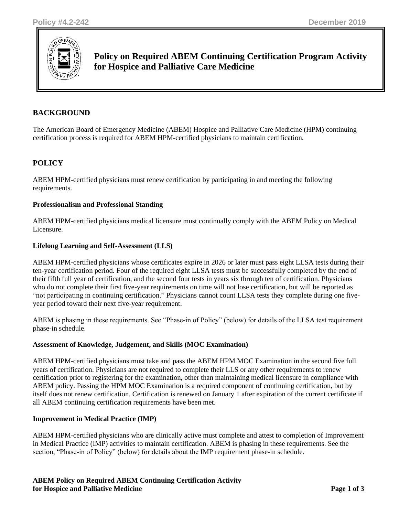

# **Policy on Required ABEM Continuing Certification Program Activity for Hospice and Palliative Care Medicine**

# **BACKGROUND**

The American Board of Emergency Medicine (ABEM) Hospice and Palliative Care Medicine (HPM) continuing certification process is required for ABEM HPM-certified physicians to maintain certification.

# **POLICY**

ABEM HPM-certified physicians must renew certification by participating in and meeting the following requirements.

#### **Professionalism and Professional Standing**

ABEM HPM-certified physicians medical licensure must continually comply with the ABEM Policy on Medical Licensure.

#### **Lifelong Learning and Self-Assessment (LLS)**

ABEM HPM-certified physicians whose certificates expire in 2026 or later must pass eight LLSA tests during their ten-year certification period. Four of the required eight LLSA tests must be successfully completed by the end of their fifth full year of certification, and the second four tests in years six through ten of certification. Physicians who do not complete their first five-year requirements on time will not lose certification, but will be reported as "not participating in continuing certification." Physicians cannot count LLSA tests they complete during one fiveyear period toward their next five-year requirement.

ABEM is phasing in these requirements. See "Phase-in of Policy" (below) for details of the LLSA test requirement phase-in schedule.

#### **Assessment of Knowledge, Judgement, and Skills (MOC Examination)**

ABEM HPM-certified physicians must take and pass the ABEM HPM MOC Examination in the second five full years of certification. Physicians are not required to complete their LLS or any other requirements to renew certification prior to registering for the examination, other than maintaining medical licensure in compliance with ABEM policy. Passing the HPM MOC Examination is a required component of continuing certification, but by itself does not renew certification. Certification is renewed on January 1 after expiration of the current certificate if all ABEM continuing certification requirements have been met.

#### **Improvement in Medical Practice (IMP)**

ABEM HPM-certified physicians who are clinically active must complete and attest to completion of Improvement in Medical Practice (IMP) activities to maintain certification. ABEM is phasing in these requirements. See the section, "Phase-in of Policy" (below) for details about the IMP requirement phase-in schedule.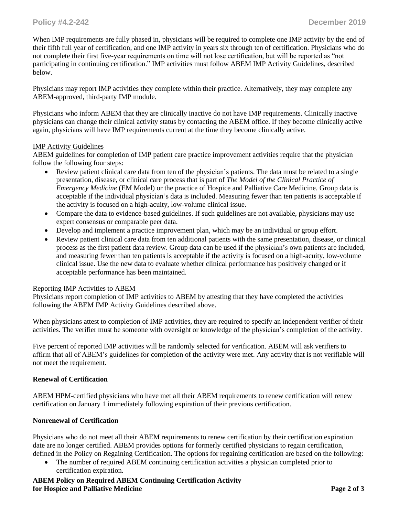When IMP requirements are fully phased in, physicians will be required to complete one IMP activity by the end of their fifth full year of certification, and one IMP activity in years six through ten of certification. Physicians who do not complete their first five-year requirements on time will not lose certification, but will be reported as "not participating in continuing certification." IMP activities must follow ABEM IMP Activity Guidelines, described below.

Physicians may report IMP activities they complete within their practice. Alternatively, they may complete any ABEM-approved, third-party IMP module.

Physicians who inform ABEM that they are clinically inactive do not have IMP requirements. Clinically inactive physicians can change their clinical activity status by contacting the ABEM office. If they become clinically active again, physicians will have IMP requirements current at the time they become clinically active.

#### IMP Activity Guidelines

ABEM guidelines for completion of IMP patient care practice improvement activities require that the physician follow the following four steps:

- Review patient clinical care data from ten of the physician's patients. The data must be related to a single presentation, disease, or clinical care process that is part of *The Model of the Clinical Practice of Emergency Medicine* (EM Model) or the practice of Hospice and Palliative Care Medicine. Group data is acceptable if the individual physician's data is included. Measuring fewer than ten patients is acceptable if the activity is focused on a high-acuity, low-volume clinical issue.
- Compare the data to evidence-based guidelines. If such guidelines are not available, physicians may use expert consensus or comparable peer data.
- Develop and implement a practice improvement plan, which may be an individual or group effort.
- Review patient clinical care data from ten additional patients with the same presentation, disease, or clinical process as the first patient data review. Group data can be used if the physician's own patients are included, and measuring fewer than ten patients is acceptable if the activity is focused on a high-acuity, low-volume clinical issue. Use the new data to evaluate whether clinical performance has positively changed or if acceptable performance has been maintained.

#### Reporting IMP Activities to ABEM

Physicians report completion of IMP activities to ABEM by attesting that they have completed the activities following the ABEM IMP Activity Guidelines described above.

When physicians attest to completion of IMP activities, they are required to specify an independent verifier of their activities. The verifier must be someone with oversight or knowledge of the physician's completion of the activity.

Five percent of reported IMP activities will be randomly selected for verification. ABEM will ask verifiers to affirm that all of ABEM's guidelines for completion of the activity were met. Any activity that is not verifiable will not meet the requirement.

#### **Renewal of Certification**

ABEM HPM-certified physicians who have met all their ABEM requirements to renew certification will renew certification on January 1 immediately following expiration of their previous certification.

#### **Nonrenewal of Certification**

Physicians who do not meet all their ABEM requirements to renew certification by their certification expiration date are no longer certified. ABEM provides options for formerly certified physicians to regain certification, defined in the Policy on Regaining Certification. The options for regaining certification are based on the following:

- The number of required ABEM continuing certification activities a physician completed prior to certification expiration.
- **ABEM Policy on Required ABEM Continuing Certification Activity for Hospice and Palliative Medicine Page 2 of 3**